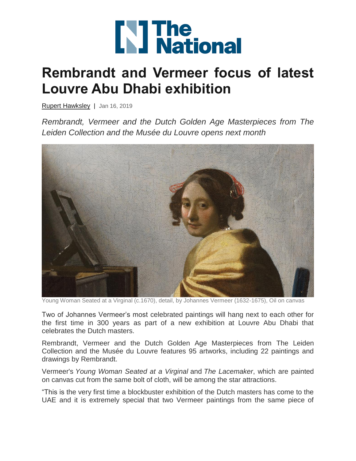

## **Rembrandt and Vermeer focus of latest Louvre Abu Dhabi exhibition**

[Rupert Hawksley](https://www.thenational.ae/topics/Author/Rupert%20Hawksley) | Jan 16, 2019

*Rembrandt, Vermeer and the Dutch Golden Age Masterpieces from The Leiden Collection and the Musée du Louvre opens next month*



Young Woman Seated at a Virginal (c.1670), detail, by Johannes Vermeer (1632-1675), Oil on canvas

Two of Johannes Vermeer's most celebrated paintings will hang next to each other for the first time in 300 years as part of a new exhibition at Louvre Abu Dhabi that celebrates the Dutch masters.

Rembrandt, Vermeer and the Dutch Golden Age Masterpieces from The Leiden Collection and the Musée du Louvre features 95 artworks, including 22 paintings and drawings by Rembrandt.

Vermeer's *Young Woman Seated at a Virginal* and *The Lacemaker*, which are painted on canvas cut from the same bolt of cloth, will be among the star attractions.

"This is the very first time a blockbuster exhibition of the Dutch masters has come to the UAE and it is extremely special that two Vermeer paintings from the same piece of